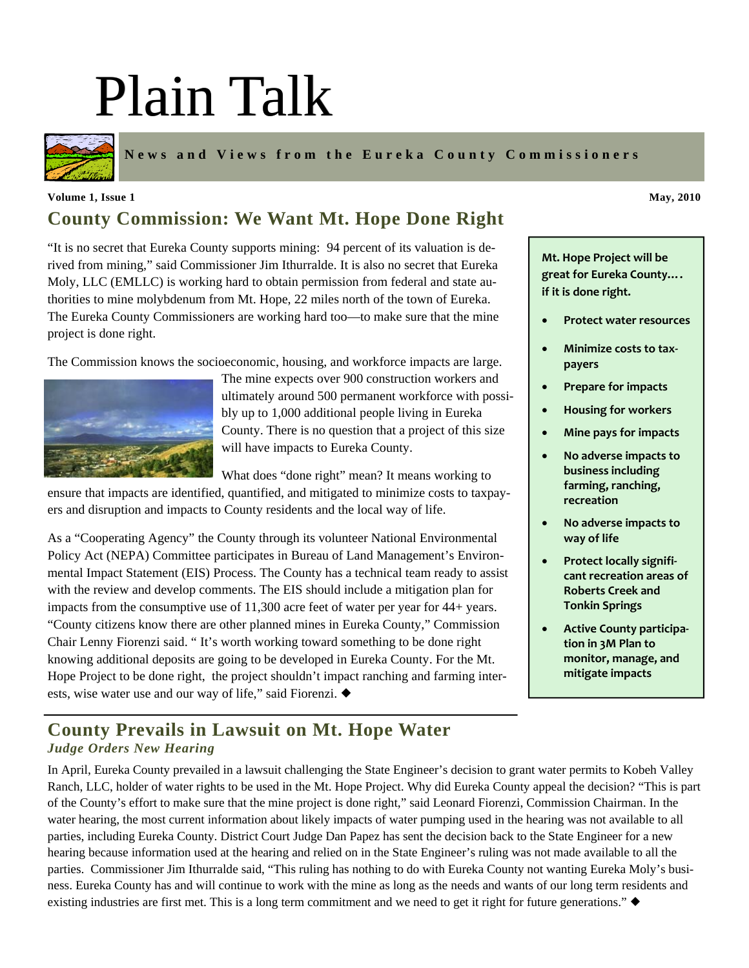# Plain Talk



**News and Views from the Eureka County Commissioners** 

#### **County Commission: We Want Mt. Hope Done Right Volume 1, Issue 1** May, 2010

"It is no secret that Eureka County supports mining: 94 percent of its valuation is derived from mining," said Commissioner Jim Ithurralde. It is also no secret that Eureka Moly, LLC (EMLLC) is working hard to obtain permission from federal and state authorities to mine molybdenum from Mt. Hope, 22 miles north of the town of Eureka. The Eureka County Commissioners are working hard too—to make sure that the mine project is done right.

The Commission knows the socioeconomic, housing, and workforce impacts are large.



The mine expects over 900 construction workers and ultimately around 500 permanent workforce with possibly up to 1,000 additional people living in Eureka County. There is no question that a project of this size will have impacts to Eureka County.

What does "done right" mean? It means working to ensure that impacts are identified, quantified, and mitigated to minimize costs to taxpay-

ers and disruption and impacts to County residents and the local way of life.

As a "Cooperating Agency" the County through its volunteer National Environmental Policy Act (NEPA) Committee participates in Bureau of Land Management's Environmental Impact Statement (EIS) Process. The County has a technical team ready to assist with the review and develop comments. The EIS should include a mitigation plan for impacts from the consumptive use of 11,300 acre feet of water per year for 44+ years. "County citizens know there are other planned mines in Eureka County," Commission Chair Lenny Fiorenzi said. " It's worth working toward something to be done right knowing additional deposits are going to be developed in Eureka County. For the Mt. Hope Project to be done right, the project shouldn't impact ranching and farming interests, wise water use and our way of life," said Fiorenzi.  $\blacklozenge$ 

**Mt. Hope Project will be great for Eureka County….**

• **Protect water resources**

**if it is done right.** 

- **Minimize costs to tax‐ payers**
- **Prepare for impacts**
- **Housing for workers**
- **Mine pays for impacts**
- **No adverse impacts to business including farming, ranching, recreation**
- **No adverse impacts to way of life**
- **Protect locally signifi‐ cant recreation areas of Roberts Creek and Tonkin Springs**
- **Active County participa‐ tion in 3M Plan to monitor, manage, and mitigate impacts**

#### **County Prevails in Lawsuit on Mt. Hope Water**  *Judge Orders New Hearing*

In April, Eureka County prevailed in a lawsuit challenging the State Engineer's decision to grant water permits to Kobeh Valley Ranch, LLC, holder of water rights to be used in the Mt. Hope Project. Why did Eureka County appeal the decision? "This is part of the County's effort to make sure that the mine project is done right," said Leonard Fiorenzi, Commission Chairman. In the water hearing, the most current information about likely impacts of water pumping used in the hearing was not available to all parties, including Eureka County. District Court Judge Dan Papez has sent the decision back to the State Engineer for a new hearing because information used at the hearing and relied on in the State Engineer's ruling was not made available to all the parties. Commissioner Jim Ithurralde said, "This ruling has nothing to do with Eureka County not wanting Eureka Moly's business. Eureka County has and will continue to work with the mine as long as the needs and wants of our long term residents and existing industries are first met. This is a long term commitment and we need to get it right for future generations."  $\blacklozenge$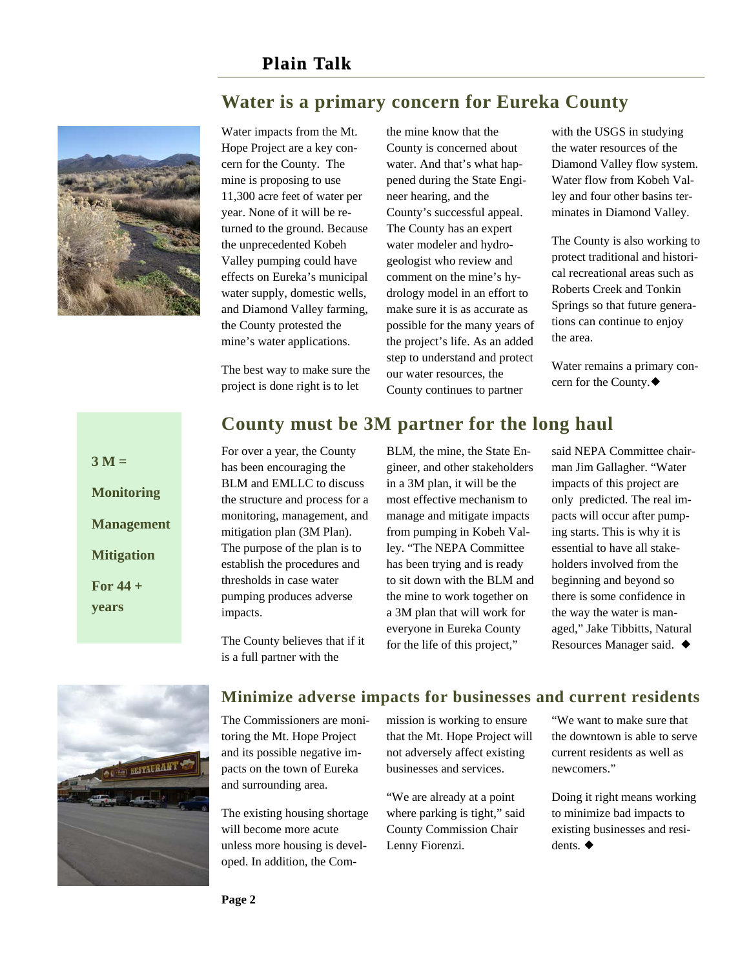## **Water is a primary concern for Eureka County**



Water impacts from the Mt. Hope Project are a key concern for the County. The mine is proposing to use 11,300 acre feet of water per year. None of it will be returned to the ground. Because the unprecedented Kobeh Valley pumping could have effects on Eureka's municipal water supply, domestic wells, and Diamond Valley farming, the County protested the mine's water applications.

The best way to make sure the project is done right is to let

the mine know that the County is concerned about water. And that's what happened during the State Engineer hearing, and the County's successful appeal. The County has an expert water modeler and hydrogeologist who review and comment on the mine's hydrology model in an effort to make sure it is as accurate as possible for the many years of the project's life. As an added step to understand and protect our water resources, the County continues to partner

with the USGS in studying the water resources of the Diamond Valley flow system. Water flow from Kobeh Valley and four other basins terminates in Diamond Valley.

The County is also working to protect traditional and historical recreational areas such as Roberts Creek and Tonkin Springs so that future generations can continue to enjoy the area.

Water remains a primary concern for the County.

# **County must be 3M partner for the long haul**

 $3 M =$ **Monitoring Management Mitigation For 44 + years** 

For over a year, the County has been encouraging the BLM and EMLLC to discuss the structure and process for a monitoring, management, and mitigation plan (3M Plan). The purpose of the plan is to establish the procedures and thresholds in case water pumping produces adverse impacts.

The County believes that if it is a full partner with the

BLM, the mine, the State Engineer, and other stakeholders in a 3M plan, it will be the most effective mechanism to manage and mitigate impacts from pumping in Kobeh Valley. "The NEPA Committee has been trying and is ready to sit down with the BLM and the mine to work together on a 3M plan that will work for everyone in Eureka County for the life of this project,"

said NEPA Committee chairman Jim Gallagher. "Water impacts of this project are only predicted. The real impacts will occur after pumping starts. This is why it is essential to have all stakeholders involved from the beginning and beyond so there is some confidence in the way the water is managed," Jake Tibbitts, Natural Resources Manager said.  $\blacklozenge$ 



#### **Minimize adverse impacts for businesses and current residents**

The Commissioners are monitoring the Mt. Hope Project and its possible negative impacts on the town of Eureka and surrounding area.

The existing housing shortage will become more acute unless more housing is developed. In addition, the Commission is working to ensure that the Mt. Hope Project will not adversely affect existing businesses and services.

"We are already at a point where parking is tight," said County Commission Chair Lenny Fiorenzi.

"We want to make sure that the downtown is able to serve current residents as well as newcomers."

Doing it right means working to minimize bad impacts to existing businesses and residents.  $\blacklozenge$ 

**Page 2**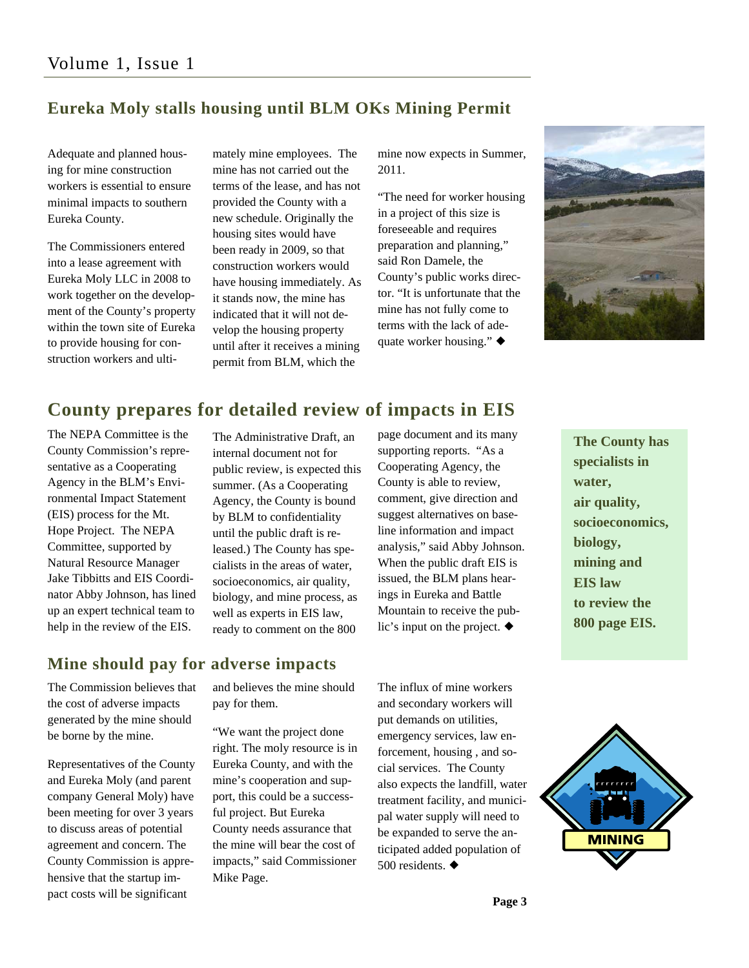#### **Eureka Moly stalls housing until BLM OKs Mining Permit**

Adequate and planned housing for mine construction workers is essential to ensure minimal impacts to southern Eureka County.

The Commissioners entered into a lease agreement with Eureka Moly LLC in 2008 to work together on the development of the County's property within the town site of Eureka to provide housing for construction workers and ultimately mine employees. The mine has not carried out the terms of the lease, and has not provided the County with a new schedule. Originally the housing sites would have been ready in 2009, so that construction workers would have housing immediately. As it stands now, the mine has indicated that it will not develop the housing property until after it receives a mining permit from BLM, which the

mine now expects in Summer, 2011.

"The need for worker housing in a project of this size is foreseeable and requires preparation and planning," said Ron Damele, the County's public works director. "It is unfortunate that the mine has not fully come to terms with the lack of adequate worker housing."  $\blacklozenge$ 



### **County prepares for detailed review of impacts in EIS**

The NEPA Committee is the County Commission's representative as a Cooperating Agency in the BLM's Environmental Impact Statement (EIS) process for the Mt. Hope Project. The NEPA Committee, supported by Natural Resource Manager Jake Tibbitts and EIS Coordinator Abby Johnson, has lined up an expert technical team to help in the review of the EIS.

The Administrative Draft, an internal document not for public review, is expected this summer. (As a Cooperating Agency, the County is bound by BLM to confidentiality until the public draft is released.) The County has specialists in the areas of water, socioeconomics, air quality, biology, and mine process, as well as experts in EIS law, ready to comment on the 800

page document and its many supporting reports. "As a Cooperating Agency, the County is able to review, comment, give direction and suggest alternatives on baseline information and impact analysis," said Abby Johnson. When the public draft EIS is issued, the BLM plans hearings in Eureka and Battle Mountain to receive the public's input on the project.  $\blacklozenge$ 

**The County has specialists in water, air quality, socioeconomics, biology, mining and EIS law to review the 800 page EIS.** 

#### **Mine should pay for adverse impacts**

The Commission believes that the cost of adverse impacts generated by the mine should be borne by the mine.

Representatives of the County and Eureka Moly (and parent company General Moly) have been meeting for over 3 years to discuss areas of potential agreement and concern. The County Commission is apprehensive that the startup impact costs will be significant

and believes the mine should pay for them.

"We want the project done right. The moly resource is in Eureka County, and with the mine's cooperation and support, this could be a successful project. But Eureka County needs assurance that the mine will bear the cost of impacts," said Commissioner Mike Page.

The influx of mine workers and secondary workers will put demands on utilities, emergency services, law enforcement, housing , and social services. The County also expects the landfill, water treatment facility, and municipal water supply will need to be expanded to serve the anticipated added population of 500 residents.  $\blacklozenge$